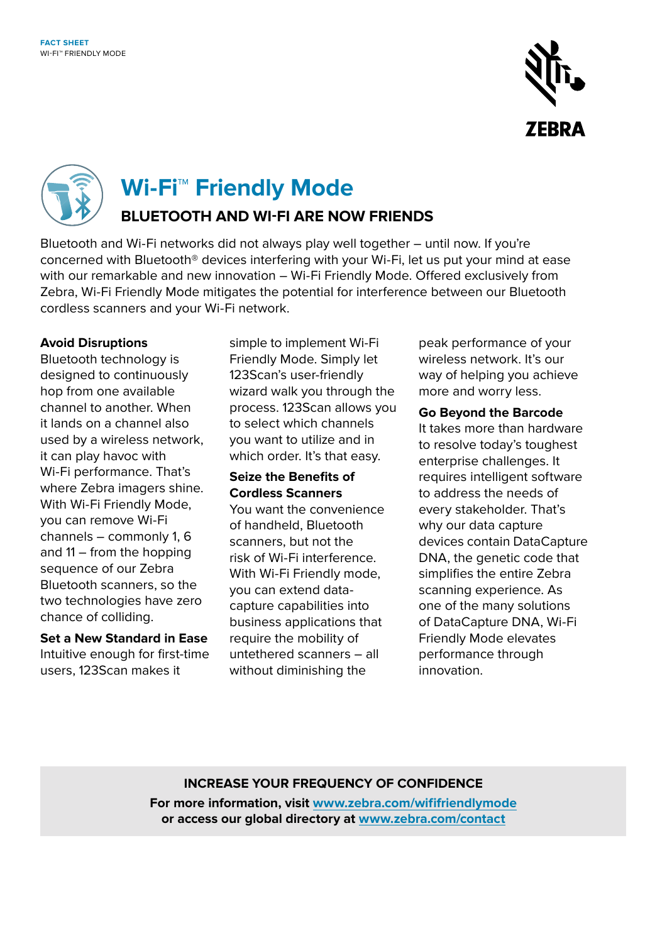



**Wi-Fi™ Friendly Mode** 

## **BLUETOOTH AND WI-FI ARE NOW FRIENDS**

Bluetooth and Wi-Fi networks did not always play well together – until now. If you're concerned with Bluetooth® devices interfering with your Wi-Fi, let us put your mind at ease with our remarkable and new innovation – Wi-Fi Friendly Mode. Offered exclusively from Zebra, Wi-Fi Friendly Mode mitigates the potential for interference between our Bluetooth cordless scanners and your Wi-Fi network.

## **Avoid Disruptions**

Bluetooth technology is designed to continuously hop from one available channel to another. When it lands on a channel also used by a wireless network, it can play havoc with Wi-Fi performance. That's where Zebra imagers shine. With Wi-Fi Friendly Mode, you can remove Wi-Fi channels – commonly 1, 6 and 11 – from the hopping sequence of our Zebra Bluetooth scanners, so the two technologies have zero chance of colliding.

**Set a New Standard in Ease** Intuitive enough for first-time users, 123Scan makes it

simple to implement Wi-Fi Friendly Mode. Simply let 123Scan's user-friendly wizard walk you through the process. 123Scan allows you to select which channels you want to utilize and in which order. It's that easy.

## **Seize the Benefits of Cordless Scanners**

You want the convenience of handheld, Bluetooth scanners, but not the risk of Wi-Fi interference. With Wi-Fi Friendly mode, you can extend datacapture capabilities into business applications that require the mobility of untethered scanners – all without diminishing the

peak performance of your wireless network. It's our way of helping you achieve more and worry less.

**Go Beyond the Barcode**  It takes more than hardware to resolve today's toughest enterprise challenges. It requires intelligent software to address the needs of every stakeholder. That's why our data capture devices contain DataCapture DNA, the genetic code that simplifies the entire Zebra scanning experience. As one of the many solutions of DataCapture DNA, Wi-Fi Friendly Mode elevates performance through innovation.

## **INCREASE YOUR FREQUENCY OF CONFIDENCE**

**For more information, visit [www.zebra.com/wififriendlymode](http://www.zebra.com/wififriendlymode) or access our global directory at [www.zebra.com/contact](http://www.zebra.com/contact)**